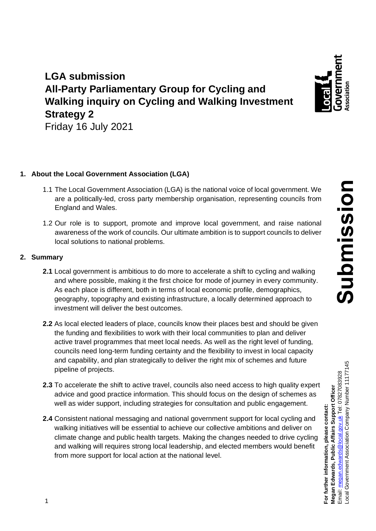

# **LGA submission All-Party Parliamentary Group for Cycling and Walking inquiry on Cycling and Walking Investment Strategy 2**

Friday 16 July 2021

# **1. About the Local Government Association (LGA)**

- 1.1 The Local Government Association (LGA) is the national voice of local government. We are a politically-led, cross party membership organisation, representing councils from England and Wales.
- 1.2 Our role is to support, promote and improve local government, and raise national awareness of the work of councils. Our ultimate ambition is to support councils to deliver local solutions to national problems.

## **2. Summary**

- **2.1** Local government is ambitious to do more to accelerate a shift to cycling and walking and where possible, making it the first choice for mode of journey in every community. As each place is different, both in terms of local economic profile, demographics, geography, topography and existing infrastructure, a locally determined approach to investment will deliver the best outcomes.
- **2.2** As local elected leaders of place, councils know their places best and should be given the funding and flexibilities to work with their local communities to plan and deliver active travel programmes that meet local needs. As well as the right level of funding, councils need long-term funding certainty and the flexibility to invest in local capacity and capability, and plan strategically to deliver the right mix of schemes and future pipeline of projects.
- **2.3** To accelerate the shift to active travel, councils also need access to high quality expert advice and good practice information. This should focus on the design of schemes as well as wider support, including strategies for consultation and public engagement.
- **2.4** Consistent national messaging and national government support for local cycling and walking initiatives will be essential to achieve our collective ambitions and deliver on climate change and public health targets. Making the changes needed to drive cycling and walking will requires strong local leadership, and elected members would benefit from more support for local action at the national level.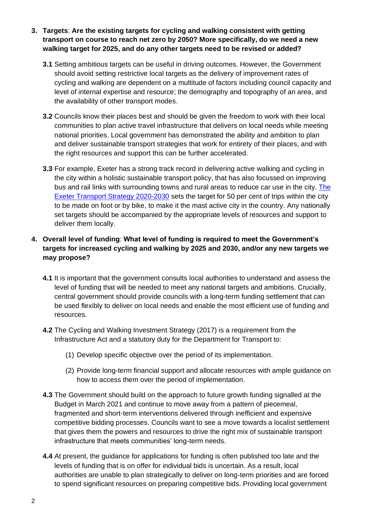- **3. Targets**: **Are the existing targets for cycling and walking consistent with getting transport on course to reach net zero by 2050? More specifically, do we need a new walking target for 2025, and do any other targets need to be revised or added?**
	- **3.1** Setting ambitious targets can be useful in driving outcomes. However, the Government should avoid setting restrictive local targets as the delivery of improvement rates of cycling and walking are dependent on a multitude of factors including council capacity and level of internal expertise and resource; the demography and topography of an area, and the availability of other transport modes.
	- **3.2** Councils know their places best and should be given the freedom to work with their local communities to plan active travel infrastructure that delivers on local needs while meeting national priorities. Local government has demonstrated the ability and ambition to plan and deliver sustainable transport strategies that work for entirety of their places, and with the right resources and support this can be further accelerated.
	- **3.3** For example, Exeter has a strong track record in delivering active walking and cycling in the city within a holistic sustainable transport policy, that has also focussed on improving bus and rail links with surrounding towns and rural areas to reduce car use in the city[. The](https://democracy.devon.gov.uk/documents/s33455/Exeter%20Transport%20Strategy%202020-2030.pdf) [Exeter Transport Strategy](https://democracy.devon.gov.uk/documents/s33455/Exeter%20Transport%20Strategy%202020-2030.pdf) 2020-2030 sets the target for 50 per cent of trips within the city to be made on foot or by bike, to make it the mast active city in the country. Any nationally set targets should be accompanied by the appropriate levels of resources and support to deliver them locally.

## **4. Overall level of funding**: **What level of funding is required to meet the Government's targets for increased cycling and walking by 2025 and 2030, and/or any new targets we may propose?**

- **4.1** It is important that the government consults local authorities to understand and assess the level of funding that will be needed to meet any national targets and ambitions. Crucially, central government should provide councils with a long-term funding settlement that can be used flexibly to deliver on local needs and enable the most efficient use of funding and resources.
- **4.2** The Cycling and Walking Investment Strategy (2017) is a requirement from the Infrastructure Act and a statutory duty for the Department for Transport to:
	- (1) Develop specific objective over the period of its implementation.
	- (2) Provide long-term financial support and allocate resources with ample guidance on how to access them over the period of implementation.
- **4.3** The Government should build on the approach to future growth funding signalled at the Budget in March 2021 and continue to move away from a pattern of piecemeal, fragmented and short-term interventions delivered through inefficient and expensive competitive bidding processes. Councils want to see a move towards a localist settlement that gives them the powers and resources to drive the right mix of sustainable transport infrastructure that meets communities' long-term needs.
- **4.4** At present, the guidance for applications for funding is often published too late and the levels of funding that is on offer for individual bids is uncertain. As a result, local authorities are unable to plan strategically to deliver on long-term priorities and are forced to spend significant resources on preparing competitive bids. Providing local government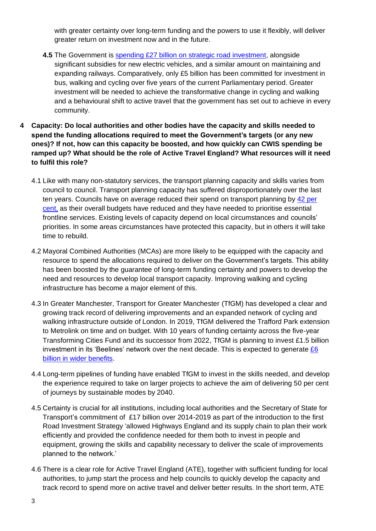with greater certainty over long-term funding and the powers to use it flexibly, will deliver greater return on investment now and in the future.

- **4.5** The Government is spending [£27 billion on strategic road investment,](https://www.gov.uk/government/news/27billion-roads-investment-to-support-64000-jobs) alongside significant subsidies for new electric vehicles, and a similar amount on maintaining and expanding railways. Comparatively, only £5 billion has been committed for investment in bus, walking and cycling over five years of the current Parliamentary period. Greater investment will be needed to achieve the transformative change in cycling and walking and a behavioural shift to active travel that the government has set out to achieve in every community.
- **4 Capacity: Do local authorities and other bodies have the capacity and skills needed to spend the funding allocations required to meet the Government's targets (or any new ones)? If not, how can this capacity be boosted, and how quickly can CWIS spending be ramped up? What should be the role of Active Travel England? What resources will it need to fulfil this role?**
	- 4.1 Like with many non-statutory services, the transport planning capacity and skills varies from council to council. Transport planning capacity has suffered disproportionately over the last ten years. Councils have on average reduced their spend on transport planning by [42 per](https://ifs.org.uk/uploads/English-local-government-funding-trends-and-challenges-in-2019-and-beyond-IFS-Report-166.pdf)  [cent,](https://ifs.org.uk/uploads/English-local-government-funding-trends-and-challenges-in-2019-and-beyond-IFS-Report-166.pdf) as their overall budgets have reduced and they have needed to prioritise essential frontline services. Existing levels of capacity depend on local circumstances and councils' priorities. In some areas circumstances have protected this capacity, but in others it will take time to rebuild.
	- 4.2 Mayoral Combined Authorities (MCAs) are more likely to be equipped with the capacity and resource to spend the allocations required to deliver on the Government's targets. This ability has been boosted by the guarantee of long-term funding certainty and powers to develop the need and resources to develop local transport capacity. Improving walking and cycling infrastructure has become a major element of this.
	- 4.3 In Greater Manchester, Transport for Greater Manchester (TfGM) has developed a clear and growing track record of delivering improvements and an expanded network of cycling and walking infrastructure outside of London. In 2019, TfGM delivered the Trafford Park extension to Metrolink on time and on budget. With 10 years of funding certainty across the five-year Transforming Cities Fund and its successor from 2022, TfGM is planning to invest £1.5 billion investment in its 'Beelines' network over the next decade. This is expected to generate [£6](https://assets.ctfassets.net/xfhv954w443t/1BtOhooOFrD938D3JvvNSD/0035db2634e53de82329b5370b59e019/19-1950_Bee_Network_delivery_plan-style_-_website_version.pdf)  [billion in wider benefits.](https://assets.ctfassets.net/xfhv954w443t/1BtOhooOFrD938D3JvvNSD/0035db2634e53de82329b5370b59e019/19-1950_Bee_Network_delivery_plan-style_-_website_version.pdf)
	- 4.4 Long-term pipelines of funding have enabled TfGM to invest in the skills needed, and develop the experience required to take on larger projects to achieve the aim of delivering 50 per cent of journeys by sustainable modes by 2040.
	- 4.5 Certainty is crucial for all institutions, including local authorities and the Secretary of State for Transport's commitment of £17 billion over 2014-2019 as part of the introduction to the first Road Investment Strategy 'allowed Highways England and its supply chain to plan their work efficiently and provided the confidence needed for them both to invest in people and equipment, growing the skills and capability necessary to deliver the scale of improvements planned to the network.'
	- 4.6 There is a clear role for Active Travel England (ATE), together with sufficient funding for local authorities, to jump start the process and help councils to quickly develop the capacity and track record to spend more on active travel and deliver better results. In the short term, ATE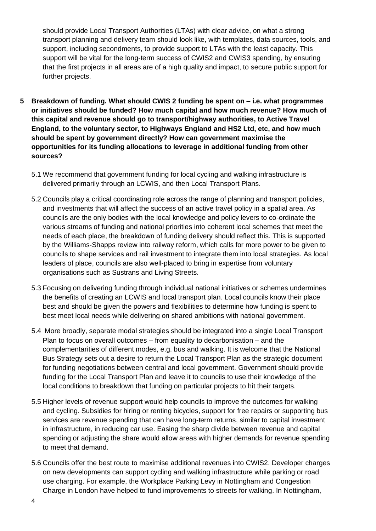should provide Local Transport Authorities (LTAs) with clear advice, on what a strong transport planning and delivery team should look like, with templates, data sources, tools, and support, including secondments, to provide support to LTAs with the least capacity. This support will be vital for the long-term success of CWIS2 and CWIS3 spending, by ensuring that the first projects in all areas are of a high quality and impact, to secure public support for further projects.

- **5 Breakdown of funding. What should CWIS 2 funding be spent on – i.e. what programmes or initiatives should be funded? How much capital and how much revenue? How much of this capital and revenue should go to transport/highway authorities, to Active Travel England, to the voluntary sector, to Highways England and HS2 Ltd, etc, and how much should be spent by government directly? How can government maximise the opportunities for its funding allocations to leverage in additional funding from other sources?**
	- 5.1 We recommend that government funding for local cycling and walking infrastructure is delivered primarily through an LCWIS, and then Local Transport Plans.
	- 5.2 Councils play a critical coordinating role across the range of planning and transport policies, and investments that will affect the success of an active travel policy in a spatial area. As councils are the only bodies with the local knowledge and policy levers to co-ordinate the various streams of funding and national priorities into coherent local schemes that meet the needs of each place, the breakdown of funding delivery should reflect this. This is supported by the Williams-Shapps review into railway reform, which calls for more power to be given to councils to shape services and rail investment to integrate them into local strategies. As local leaders of place, councils are also well-placed to bring in expertise from voluntary organisations such as Sustrans and Living Streets.
	- 5.3 Focusing on delivering funding through individual national initiatives or schemes undermines the benefits of creating an LCWIS and local transport plan. Local councils know their place best and should be given the powers and flexibilities to determine how funding is spent to best meet local needs while delivering on shared ambitions with national government.
	- 5.4 More broadly, separate modal strategies should be integrated into a single Local Transport Plan to focus on overall outcomes – from equality to decarbonisation – and the complementarities of different modes, e.g. bus and walking. It is welcome that the National Bus Strategy sets out a desire to return the Local Transport Plan as the strategic document for funding negotiations between central and local government. Government should provide funding for the Local Transport Plan and leave it to councils to use their knowledge of the local conditions to breakdown that funding on particular projects to hit their targets.
	- 5.5 Higher levels of revenue support would help councils to improve the outcomes for walking and cycling. Subsidies for hiring or renting bicycles, support for free repairs or supporting bus services are revenue spending that can have long-term returns, similar to capital investment in infrastructure, in reducing car use. Easing the sharp divide between revenue and capital spending or adjusting the share would allow areas with higher demands for revenue spending to meet that demand.
	- 5.6 Councils offer the best route to maximise additional revenues into CWIS2. Developer charges on new developments can support cycling and walking infrastructure while parking or road use charging. For example, the Workplace Parking Levy in Nottingham and Congestion Charge in London have helped to fund improvements to streets for walking. In Nottingham,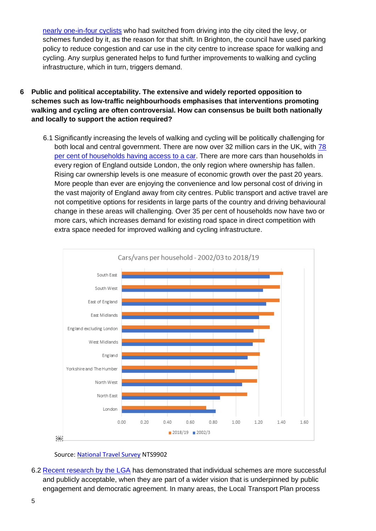nearly [one-in-four cyclists](https://dora.dmu.ac.uk/bitstream/handle/2086/18604/main.pdf?sequence=3&isAllowed=y) who had switched from driving into the city cited the levy, or schemes funded by it, as the reason for that shift. In Brighton, the council have used parking policy to reduce congestion and car use in the city centre to increase space for walking and cycling. Any surplus generated helps to fund further improvements to walking and cycling infrastructure, which in turn, triggers demand.

- **6 Public and political acceptability. The extensive and widely reported opposition to schemes such as low-traffic neighbourhoods emphasises that interventions promoting walking and cycling are often controversial. How can consensus be built both nationally and locally to support the action required?**
	- 6.1 Significantly increasing the levels of walking and cycling will be politically challenging for both local and central government. There are now over 32 million cars in the UK, with [78](https://www.ons.gov.uk/peoplepopulationandcommunity/personalandhouseholdfinances/expenditure/datasets/percentageofhouseholdswithcarsbyincomegrouptenureandhouseholdcompositionuktablea47)  per cent of households [having access](https://www.ons.gov.uk/peoplepopulationandcommunity/personalandhouseholdfinances/expenditure/datasets/percentageofhouseholdswithcarsbyincomegrouptenureandhouseholdcompositionuktablea47) to a car. There are more cars than households in every region of England outside London, the only region where ownership has fallen. Rising car ownership levels is one measure of economic growth over the past 20 years. More people than ever are enjoying the convenience and low personal cost of driving in the vast majority of England away from city centres. Public transport and active travel are not competitive options for residents in large parts of the country and driving behavioural change in these areas will challenging. Over 35 per cent of households now have two or more cars, which increases demand for existing road space in direct competition with extra space needed for improved walking and cycling infrastructure.



Source: [National Travel Survey](https://www.gov.uk/government/statistical-data-sets/tsgb09-vehicles) NTS9902

6.2 [Recent research by the LGA](https://www.local.gov.uk/publications/stakeholder-engagement-emergency-lessons-low-traffic-neighbourhoods) has demonstrated that individual schemes are more successful and publicly acceptable, when they are part of a wider vision that is underpinned by public engagement and democratic agreement. In many areas, the Local Transport Plan process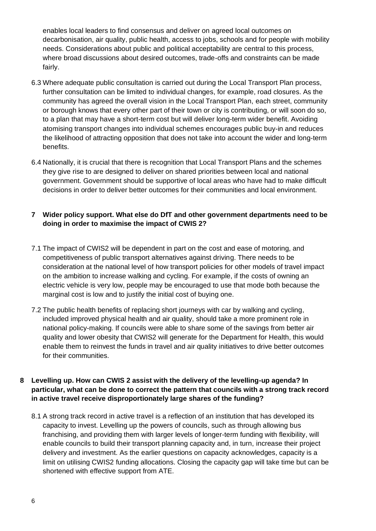enables local leaders to find consensus and deliver on agreed local outcomes on decarbonisation, air quality, public health, access to jobs, schools and for people with mobility needs. Considerations about public and political acceptability are central to this process, where broad discussions about desired outcomes, trade-offs and constraints can be made fairly.

- 6.3 Where adequate public consultation is carried out during the Local Transport Plan process, further consultation can be limited to individual changes, for example, road closures. As the community has agreed the overall vision in the Local Transport Plan, each street, community or borough knows that every other part of their town or city is contributing, or will soon do so, to a plan that may have a short-term cost but will deliver long-term wider benefit. Avoiding atomising transport changes into individual schemes encourages public buy-in and reduces the likelihood of attracting opposition that does not take into account the wider and long-term benefits.
- 6.4 Nationally, it is crucial that there is recognition that Local Transport Plans and the schemes they give rise to are designed to deliver on shared priorities between local and national government. Government should be supportive of local areas who have had to make difficult decisions in order to deliver better outcomes for their communities and local environment.

#### **7 Wider policy support. What else do DfT and other government departments need to be doing in order to maximise the impact of CWIS 2?**

- 7.1 The impact of CWIS2 will be dependent in part on the cost and ease of motoring, and competitiveness of public transport alternatives against driving. There needs to be consideration at the national level of how transport policies for other models of travel impact on the ambition to increase walking and cycling. For example, if the costs of owning an electric vehicle is very low, people may be encouraged to use that mode both because the marginal cost is low and to justify the initial cost of buying one.
- 7.2 The public health benefits of replacing short journeys with car by walking and cycling, included improved physical health and air quality, should take a more prominent role in national policy-making. If councils were able to share some of the savings from better air quality and lower obesity that CWIS2 will generate for the Department for Health, this would enable them to reinvest the funds in travel and air quality initiatives to drive better outcomes for their communities.

#### **8 Levelling up. How can CWIS 2 assist with the delivery of the levelling-up agenda? In particular, what can be done to correct the pattern that councils with a strong track record in active travel receive disproportionately large shares of the funding?**

8.1 A strong track record in active travel is a reflection of an institution that has developed its capacity to invest. Levelling up the powers of councils, such as through allowing bus franchising, and providing them with larger levels of longer-term funding with flexibility, will enable councils to build their transport planning capacity and, in turn, increase their project delivery and investment. As the earlier questions on capacity acknowledges, capacity is a limit on utilising CWIS2 funding allocations. Closing the capacity gap will take time but can be shortened with effective support from ATE.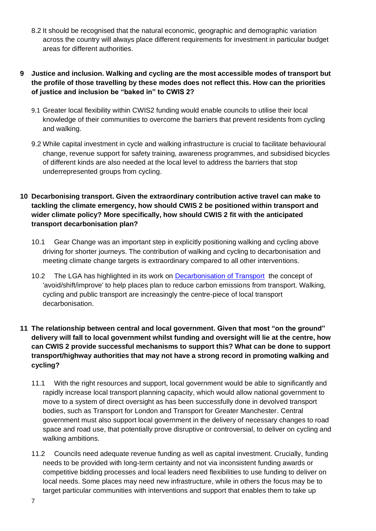- 8.2 It should be recognised that the natural economic, geographic and demographic variation across the country will always place different requirements for investment in particular budget areas for different authorities.
- **9 Justice and inclusion. Walking and cycling are the most accessible modes of transport but the profile of those travelling by these modes does not reflect this. How can the priorities of justice and inclusion be "baked in" to CWIS 2?**
	- 9.1 Greater local flexibility within CWIS2 funding would enable councils to utilise their local knowledge of their communities to overcome the barriers that prevent residents from cycling and walking.
	- 9.2 While capital investment in cycle and walking infrastructure is crucial to facilitate behavioural change, revenue support for safety training, awareness programmes, and subsidised bicycles of different kinds are also needed at the local level to address the barriers that stop underrepresented groups from cycling.
- **10 Decarbonising transport. Given the extraordinary contribution active travel can make to tackling the climate emergency, how should CWIS 2 be positioned within transport and wider climate policy? More specifically, how should CWIS 2 fit with the anticipated transport decarbonisation plan?**
	- 10.1 Gear Change was an important step in explicitly positioning walking and cycling above driving for shorter journeys. The contribution of walking and cycling to decarbonisation and meeting climate change targets is extraordinary compared to all other interventions.
	- 10.2 The LGA has highlighted in its work on [Decarbonisation of Transport](https://www.local.gov.uk/publications/decarbonising-transport-growing-cycle-use) the concept of 'avoid/shift/improve' to help places plan to reduce carbon emissions from transport. Walking, cycling and public transport are increasingly the centre-piece of local transport decarbonisation.
- **11 The relationship between central and local government. Given that most "on the ground" delivery will fall to local government whilst funding and oversight will lie at the centre, how can CWIS 2 provide successful mechanisms to support this? What can be done to support transport/highway authorities that may not have a strong record in promoting walking and cycling?**
	- 11.1 With the right resources and support, local government would be able to significantly and rapidly increase local transport planning capacity, which would allow national government to move to a system of direct oversight as has been successfully done in devolved transport bodies, such as Transport for London and Transport for Greater Manchester. Central government must also support local government in the delivery of necessary changes to road space and road use, that potentially prove disruptive or controversial, to deliver on cycling and walking ambitions.
	- 11.2 Councils need adequate revenue funding as well as capital investment. Crucially, funding needs to be provided with long-term certainty and not via inconsistent funding awards or competitive bidding processes and local leaders need flexibilities to use funding to deliver on local needs. Some places may need new infrastructure, while in others the focus may be to target particular communities with interventions and support that enables them to take up